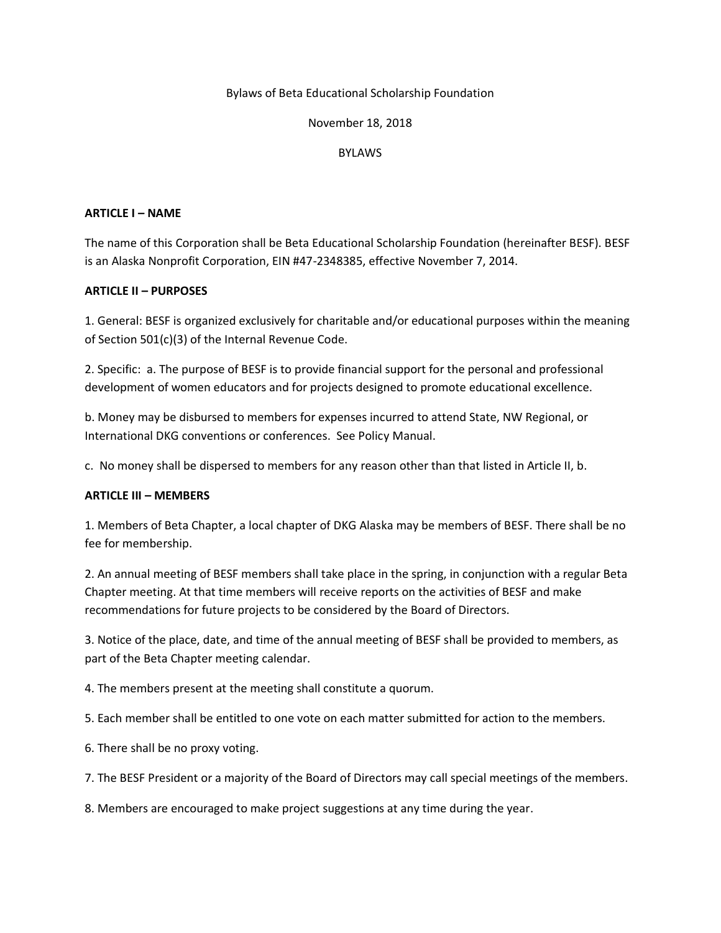#### Bylaws of Beta Educational Scholarship Foundation

#### November 18, 2018

#### **BYLAWS**

#### **ARTICLE I – NAME**

The name of this Corporation shall be Beta Educational Scholarship Foundation (hereinafter BESF). BESF is an Alaska Nonprofit Corporation, EIN #47-2348385, effective November 7, 2014.

### **ARTICLE II – PURPOSES**

1. General: BESF is organized exclusively for charitable and/or educational purposes within the meaning of Section 501(c)(3) of the Internal Revenue Code.

2. Specific: a. The purpose of BESF is to provide financial support for the personal and professional development of women educators and for projects designed to promote educational excellence.

b. Money may be disbursed to members for expenses incurred to attend State, NW Regional, or International DKG conventions or conferences. See Policy Manual.

c. No money shall be dispersed to members for any reason other than that listed in Article II, b.

### **ARTICLE III – MEMBERS**

1. Members of Beta Chapter, a local chapter of DKG Alaska may be members of BESF. There shall be no fee for membership.

2. An annual meeting of BESF members shall take place in the spring, in conjunction with a regular Beta Chapter meeting. At that time members will receive reports on the activities of BESF and make recommendations for future projects to be considered by the Board of Directors.

3. Notice of the place, date, and time of the annual meeting of BESF shall be provided to members, as part of the Beta Chapter meeting calendar.

4. The members present at the meeting shall constitute a quorum.

5. Each member shall be entitled to one vote on each matter submitted for action to the members.

6. There shall be no proxy voting.

7. The BESF President or a majority of the Board of Directors may call special meetings of the members.

8. Members are encouraged to make project suggestions at any time during the year.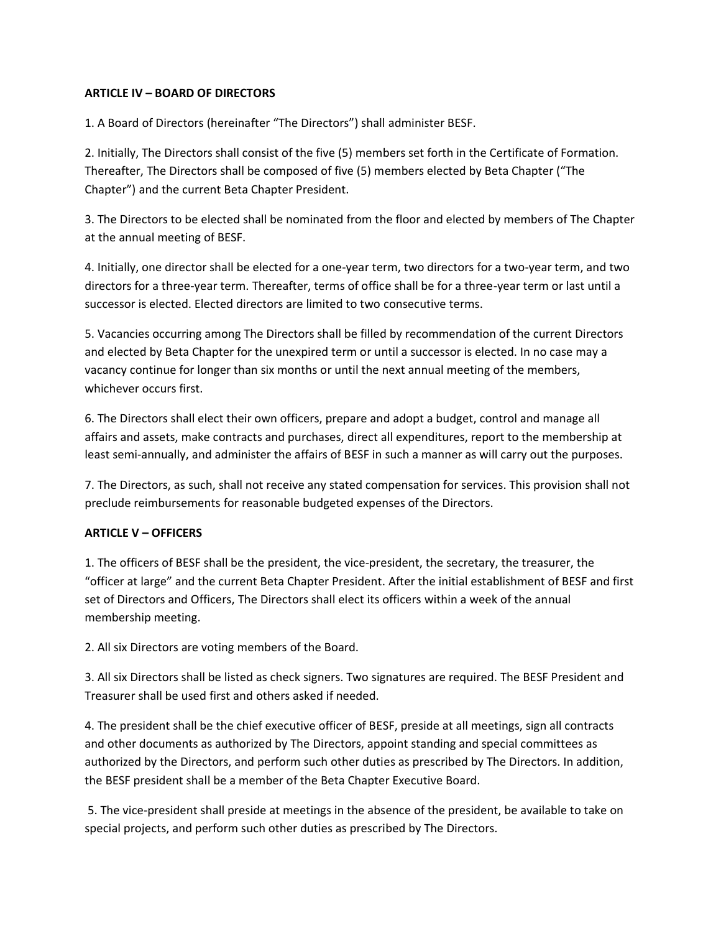### **ARTICLE IV – BOARD OF DIRECTORS**

1. A Board of Directors (hereinafter "The Directors") shall administer BESF.

2. Initially, The Directors shall consist of the five (5) members set forth in the Certificate of Formation. Thereafter, The Directors shall be composed of five (5) members elected by Beta Chapter ("The Chapter") and the current Beta Chapter President.

3. The Directors to be elected shall be nominated from the floor and elected by members of The Chapter at the annual meeting of BESF.

4. Initially, one director shall be elected for a one-year term, two directors for a two-year term, and two directors for a three-year term. Thereafter, terms of office shall be for a three-year term or last until a successor is elected. Elected directors are limited to two consecutive terms.

5. Vacancies occurring among The Directors shall be filled by recommendation of the current Directors and elected by Beta Chapter for the unexpired term or until a successor is elected. In no case may a vacancy continue for longer than six months or until the next annual meeting of the members, whichever occurs first.

6. The Directors shall elect their own officers, prepare and adopt a budget, control and manage all affairs and assets, make contracts and purchases, direct all expenditures, report to the membership at least semi-annually, and administer the affairs of BESF in such a manner as will carry out the purposes.

7. The Directors, as such, shall not receive any stated compensation for services. This provision shall not preclude reimbursements for reasonable budgeted expenses of the Directors.

### **ARTICLE V – OFFICERS**

1. The officers of BESF shall be the president, the vice-president, the secretary, the treasurer, the "officer at large" and the current Beta Chapter President. After the initial establishment of BESF and first set of Directors and Officers, The Directors shall elect its officers within a week of the annual membership meeting.

2. All six Directors are voting members of the Board.

3. All six Directors shall be listed as check signers. Two signatures are required. The BESF President and Treasurer shall be used first and others asked if needed.

4. The president shall be the chief executive officer of BESF, preside at all meetings, sign all contracts and other documents as authorized by The Directors, appoint standing and special committees as authorized by the Directors, and perform such other duties as prescribed by The Directors. In addition, the BESF president shall be a member of the Beta Chapter Executive Board.

5. The vice-president shall preside at meetings in the absence of the president, be available to take on special projects, and perform such other duties as prescribed by The Directors.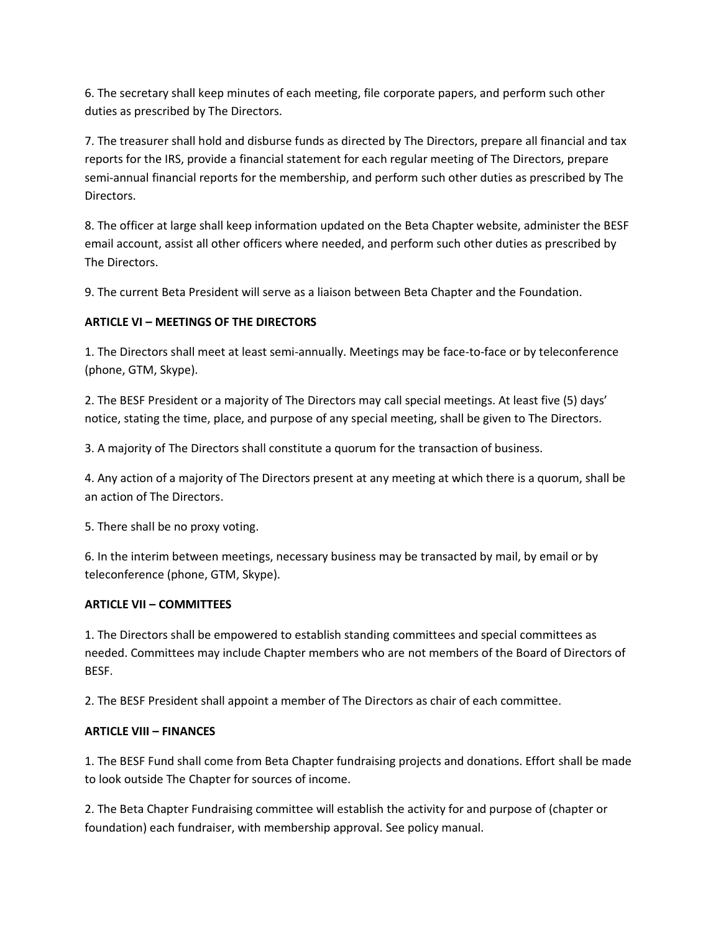6. The secretary shall keep minutes of each meeting, file corporate papers, and perform such other duties as prescribed by The Directors.

7. The treasurer shall hold and disburse funds as directed by The Directors, prepare all financial and tax reports for the IRS, provide a financial statement for each regular meeting of The Directors, prepare semi-annual financial reports for the membership, and perform such other duties as prescribed by The Directors.

8. The officer at large shall keep information updated on the Beta Chapter website, administer the BESF email account, assist all other officers where needed, and perform such other duties as prescribed by The Directors.

9. The current Beta President will serve as a liaison between Beta Chapter and the Foundation.

# **ARTICLE VI – MEETINGS OF THE DIRECTORS**

1. The Directors shall meet at least semi-annually. Meetings may be face-to-face or by teleconference (phone, GTM, Skype).

2. The BESF President or a majority of The Directors may call special meetings. At least five (5) days' notice, stating the time, place, and purpose of any special meeting, shall be given to The Directors.

3. A majority of The Directors shall constitute a quorum for the transaction of business.

4. Any action of a majority of The Directors present at any meeting at which there is a quorum, shall be an action of The Directors.

5. There shall be no proxy voting.

6. In the interim between meetings, necessary business may be transacted by mail, by email or by teleconference (phone, GTM, Skype).

## **ARTICLE VII – COMMITTEES**

1. The Directors shall be empowered to establish standing committees and special committees as needed. Committees may include Chapter members who are not members of the Board of Directors of BESF.

2. The BESF President shall appoint a member of The Directors as chair of each committee.

### **ARTICLE VIII – FINANCES**

1. The BESF Fund shall come from Beta Chapter fundraising projects and donations. Effort shall be made to look outside The Chapter for sources of income.

2. The Beta Chapter Fundraising committee will establish the activity for and purpose of (chapter or foundation) each fundraiser, with membership approval. See policy manual.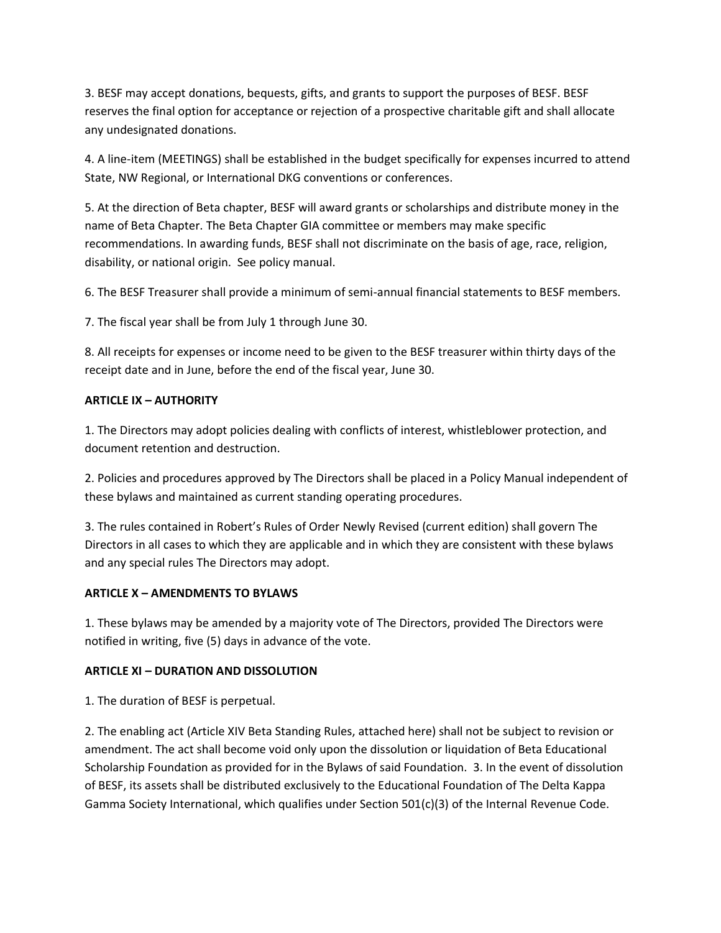3. BESF may accept donations, bequests, gifts, and grants to support the purposes of BESF. BESF reserves the final option for acceptance or rejection of a prospective charitable gift and shall allocate any undesignated donations.

4. A line-item (MEETINGS) shall be established in the budget specifically for expenses incurred to attend State, NW Regional, or International DKG conventions or conferences.

5. At the direction of Beta chapter, BESF will award grants or scholarships and distribute money in the name of Beta Chapter. The Beta Chapter GIA committee or members may make specific recommendations. In awarding funds, BESF shall not discriminate on the basis of age, race, religion, disability, or national origin. See policy manual.

6. The BESF Treasurer shall provide a minimum of semi-annual financial statements to BESF members.

7. The fiscal year shall be from July 1 through June 30.

8. All receipts for expenses or income need to be given to the BESF treasurer within thirty days of the receipt date and in June, before the end of the fiscal year, June 30.

### **ARTICLE IX – AUTHORITY**

1. The Directors may adopt policies dealing with conflicts of interest, whistleblower protection, and document retention and destruction.

2. Policies and procedures approved by The Directors shall be placed in a Policy Manual independent of these bylaws and maintained as current standing operating procedures.

3. The rules contained in Robert's Rules of Order Newly Revised (current edition) shall govern The Directors in all cases to which they are applicable and in which they are consistent with these bylaws and any special rules The Directors may adopt.

## **ARTICLE X – AMENDMENTS TO BYLAWS**

1. These bylaws may be amended by a majority vote of The Directors, provided The Directors were notified in writing, five (5) days in advance of the vote.

## **ARTICLE XI – DURATION AND DISSOLUTION**

1. The duration of BESF is perpetual.

2. The enabling act (Article XIV Beta Standing Rules, attached here) shall not be subject to revision or amendment. The act shall become void only upon the dissolution or liquidation of Beta Educational Scholarship Foundation as provided for in the Bylaws of said Foundation. 3. In the event of dissolution of BESF, its assets shall be distributed exclusively to the Educational Foundation of The Delta Kappa Gamma Society International, which qualifies under Section 501(c)(3) of the Internal Revenue Code.